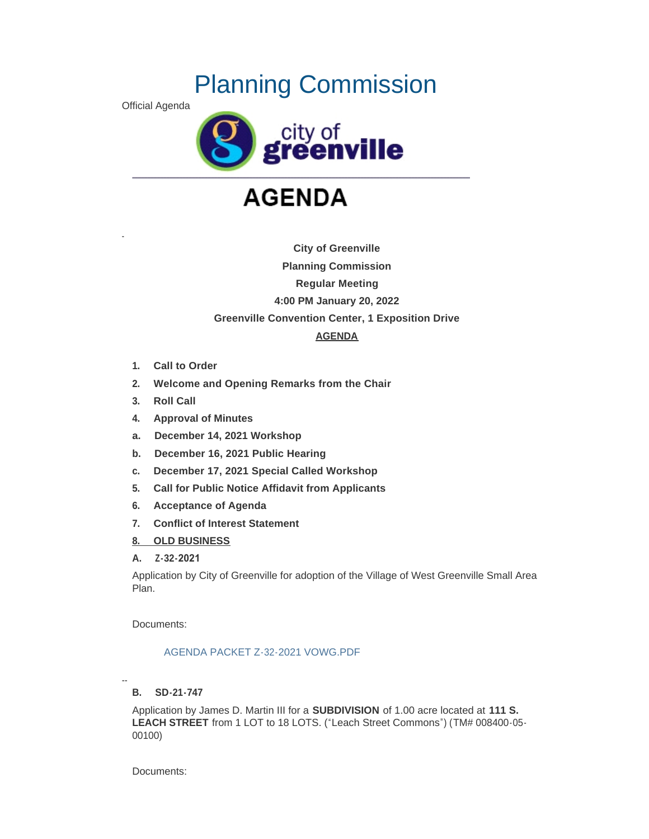# Planning Commission

Official Agenda

-



# **AGENDA**

**City of Greenville Planning Commission Regular Meeting 4:00 PM January 20, 2022 Greenville Convention Center, 1 Exposition Drive AGENDA**

- **1. Call to Order**
- **2. Welcome and Opening Remarks from the Chair**
- **3. Roll Call**
- **4. Approval of Minutes**
- **a. December 14, 2021 Workshop**
- **b. December 16, 2021 Public Hearing**
- **c. December 17, 2021 Special Called Workshop**
- **5. Call for Public Notice Affidavit from Applicants**
- **6. Acceptance of Agenda**
- **7. Conflict of Interest Statement**
- **8. OLD BUSINESS**
- **A. Z-32-2021**

Application by City of Greenville for adoption of the Village of West Greenville Small Area Plan.

Documents:

### [AGENDA PACKET Z-32-2021 VOWG.PDF](http://www.greenvillesc.gov/AgendaCenter/ViewFile/Item/9152?fileID=48578)

-- **B. SD-21-747**

Application by James D. Martin III for a **SUBDIVISION** of 1.00 acre located at **111 S. LEACH STREET** from 1 LOT to 18 LOTS. ("Leach Street Commons") (TM# 008400-05- 00100)

Documents: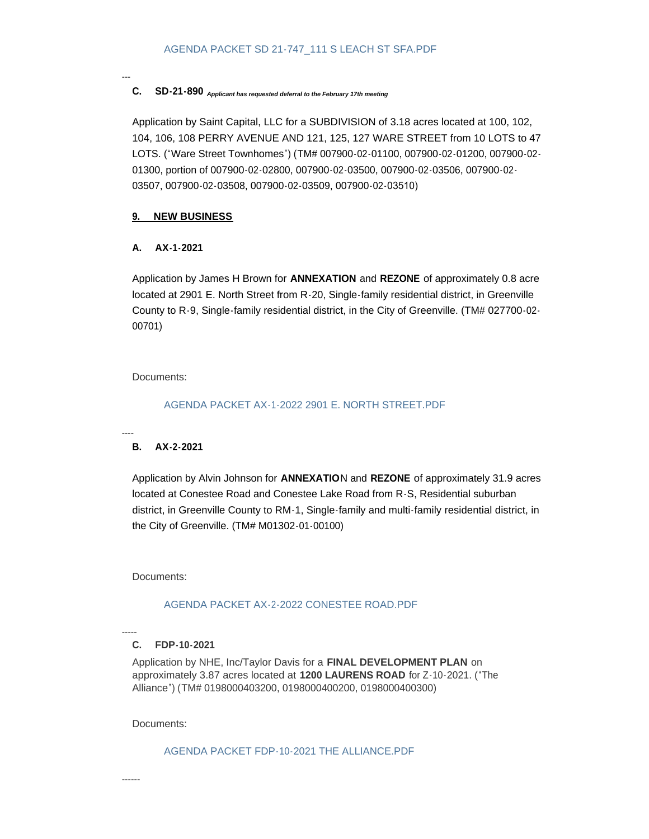### **C. SD-21-890**  *Applicant has requested deferral to the February 17th meeting*

Application by Saint Capital, LLC for a SUBDIVISION of 3.18 acres located at 100, 102, 104, 106, 108 PERRY AVENUE AND 121, 125, 127 WARE STREET from 10 LOTS to 47 LOTS. ("Ware Street Townhomes") (TM# 007900-02-01100, 007900-02-01200, 007900-02- 01300, portion of 007900-02-02800, 007900-02-03500, 007900-02-03506, 007900-02- 03507, 007900-02-03508, 007900-02-03509, 007900-02-03510)

## **9. NEW BUSINESS**

## **A. AX-1-2021**

---

Application by James H Brown for **ANNEXATION** and **REZONE** of approximately 0.8 acre located at 2901 E. North Street from R-20, Single-family residential district, in Greenville County to R-9, Single-family residential district, in the City of Greenville. (TM# 027700-02- 00701)

Documents:

## [AGENDA PACKET AX-1-2022 2901 E. NORTH STREET.PDF](http://www.greenvillesc.gov/AgendaCenter/ViewFile/Item/9154?fileID=48577)

#### ---- **B. AX-2-2021**

Application by Alvin Johnson for **ANNEXATIO**N and **REZONE** of approximately 31.9 acres located at Conestee Road and Conestee Lake Road from R-S, Residential suburban district, in Greenville County to RM-1, Single-family and multi-family residential district, in the City of Greenville. (TM# M01302-01-00100)

Documents:

## [AGENDA PACKET AX-2-2022 CONESTEE ROAD.PDF](http://www.greenvillesc.gov/AgendaCenter/ViewFile/Item/9155?fileID=48579)

#### ----- **C. FDP-10-2021**

Application by NHE, Inc/Taylor Davis for a **FINAL DEVELOPMENT PLAN** on approximately 3.87 acres located at **1200 LAURENS ROAD** for Z-10-2021. ("The Alliance") (TM# 0198000403200, 0198000400200, 0198000400300)

Documents:

[AGENDA PACKET FDP-10-2021 THE ALLIANCE.PDF](http://www.greenvillesc.gov/AgendaCenter/ViewFile/Item/9156?fileID=48580)

------